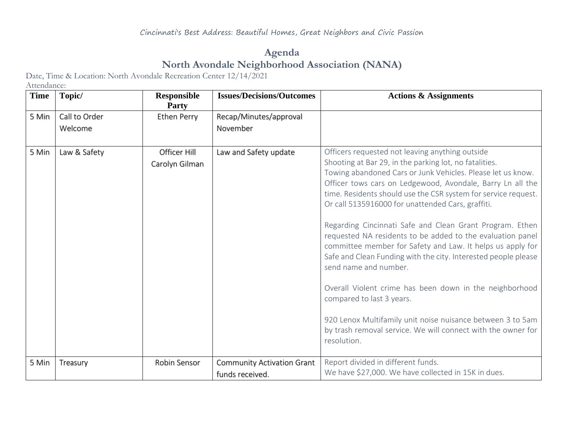## **Agenda North Avondale Neighborhood Association (NANA)**

Date, Time & Location: North Avondale Recreation Center 12/14/2021

Attendance:

| <b>Time</b> | Topic/        | <b>Responsible</b><br>Party    | <b>Issues/Decisions/Outcomes</b>                     | <b>Actions &amp; Assignments</b>                                                                                                                                                                                                                                                                                                                                                                                                                                                                                                                                                                                                                                                                                                                                                                                                                                                      |
|-------------|---------------|--------------------------------|------------------------------------------------------|---------------------------------------------------------------------------------------------------------------------------------------------------------------------------------------------------------------------------------------------------------------------------------------------------------------------------------------------------------------------------------------------------------------------------------------------------------------------------------------------------------------------------------------------------------------------------------------------------------------------------------------------------------------------------------------------------------------------------------------------------------------------------------------------------------------------------------------------------------------------------------------|
| 5 Min       | Call to Order | Ethen Perry                    | Recap/Minutes/approval                               |                                                                                                                                                                                                                                                                                                                                                                                                                                                                                                                                                                                                                                                                                                                                                                                                                                                                                       |
|             | Welcome       |                                | November                                             |                                                                                                                                                                                                                                                                                                                                                                                                                                                                                                                                                                                                                                                                                                                                                                                                                                                                                       |
| 5 Min       | Law & Safety  | Officer Hill<br>Carolyn Gilman | Law and Safety update                                | Officers requested not leaving anything outside<br>Shooting at Bar 29, in the parking lot, no fatalities.<br>Towing abandoned Cars or Junk Vehicles. Please let us know.<br>Officer tows cars on Ledgewood, Avondale, Barry Ln all the<br>time. Residents should use the CSR system for service request.<br>Or call 5135916000 for unattended Cars, graffiti.<br>Regarding Cincinnati Safe and Clean Grant Program. Ethen<br>requested NA residents to be added to the evaluation panel<br>committee member for Safety and Law. It helps us apply for<br>Safe and Clean Funding with the city. Interested people please<br>send name and number.<br>Overall Violent crime has been down in the neighborhood<br>compared to last 3 years.<br>920 Lenox Multifamily unit noise nuisance between 3 to 5am<br>by trash removal service. We will connect with the owner for<br>resolution. |
| 5 Min       | Treasury      | Robin Sensor                   | <b>Community Activation Grant</b><br>funds received. | Report divided in different funds.<br>We have \$27,000. We have collected in 15K in dues.                                                                                                                                                                                                                                                                                                                                                                                                                                                                                                                                                                                                                                                                                                                                                                                             |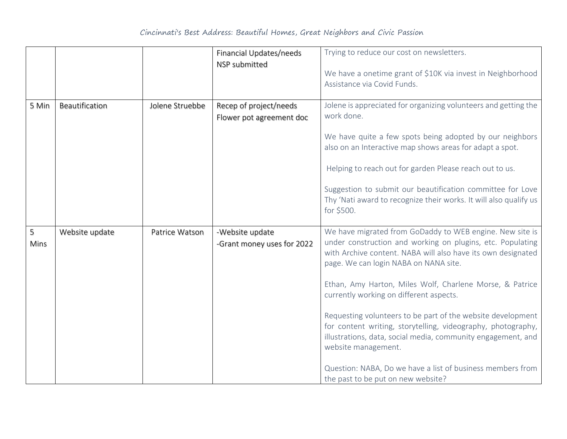|           |                |                 | Financial Updates/needs<br>NSP submitted           | Trying to reduce our cost on newsletters.<br>We have a onetime grant of \$10K via invest in Neighborhood<br>Assistance via Covid Funds.                                                                                                                                                                                                                                                                                                                                                                                                                                                                                                                          |
|-----------|----------------|-----------------|----------------------------------------------------|------------------------------------------------------------------------------------------------------------------------------------------------------------------------------------------------------------------------------------------------------------------------------------------------------------------------------------------------------------------------------------------------------------------------------------------------------------------------------------------------------------------------------------------------------------------------------------------------------------------------------------------------------------------|
| 5 Min     | Beautification | Jolene Struebbe | Recep of project/needs<br>Flower pot agreement doc | Jolene is appreciated for organizing volunteers and getting the<br>work done.<br>We have quite a few spots being adopted by our neighbors<br>also on an Interactive map shows areas for adapt a spot.<br>Helping to reach out for garden Please reach out to us.<br>Suggestion to submit our beautification committee for Love<br>Thy 'Nati award to recognize their works. It will also qualify us<br>for \$500.                                                                                                                                                                                                                                                |
| 5<br>Mins | Website update | Patrice Watson  | -Website update<br>-Grant money uses for 2022      | We have migrated from GoDaddy to WEB engine. New site is<br>under construction and working on plugins, etc. Populating<br>with Archive content. NABA will also have its own designated<br>page. We can login NABA on NANA site.<br>Ethan, Amy Harton, Miles Wolf, Charlene Morse, & Patrice<br>currently working on different aspects.<br>Requesting volunteers to be part of the website development<br>for content writing, storytelling, videography, photography,<br>illustrations, data, social media, community engagement, and<br>website management.<br>Question: NABA, Do we have a list of business members from<br>the past to be put on new website? |